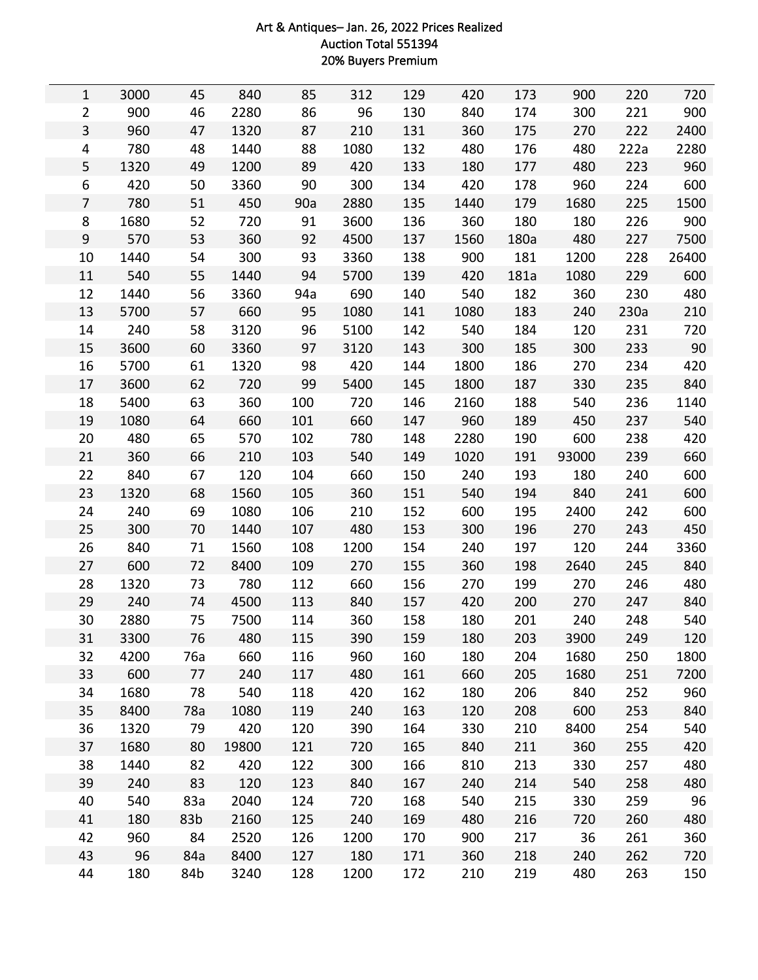## Art & Antiques– Jan. 26, 2022 Prices Realized Auction Total 551394 20% Buyers Premium

| $\mathbf{1}$   | 3000 | 45  | 840   | 85  | 312  | 129 | 420  | 173  | 900   | 220  | 720   |
|----------------|------|-----|-------|-----|------|-----|------|------|-------|------|-------|
| $\overline{2}$ | 900  | 46  | 2280  | 86  | 96   | 130 | 840  | 174  | 300   | 221  | 900   |
| 3              | 960  | 47  | 1320  | 87  | 210  | 131 | 360  | 175  | 270   | 222  | 2400  |
| 4              | 780  | 48  | 1440  | 88  | 1080 | 132 | 480  | 176  | 480   | 222a | 2280  |
| 5              | 1320 | 49  | 1200  | 89  | 420  | 133 | 180  | 177  | 480   | 223  | 960   |
| 6              | 420  | 50  | 3360  | 90  | 300  | 134 | 420  | 178  | 960   | 224  | 600   |
| $\overline{7}$ | 780  | 51  | 450   | 90a | 2880 | 135 | 1440 | 179  | 1680  | 225  | 1500  |
| 8              | 1680 | 52  | 720   | 91  | 3600 | 136 | 360  | 180  | 180   | 226  | 900   |
| 9              | 570  | 53  | 360   | 92  | 4500 | 137 | 1560 | 180a | 480   | 227  | 7500  |
| 10             | 1440 | 54  | 300   | 93  | 3360 | 138 | 900  | 181  | 1200  | 228  | 26400 |
| 11             | 540  | 55  | 1440  | 94  | 5700 | 139 | 420  | 181a | 1080  | 229  | 600   |
| 12             | 1440 | 56  | 3360  | 94a | 690  | 140 | 540  | 182  | 360   | 230  | 480   |
| 13             | 5700 | 57  | 660   | 95  | 1080 | 141 | 1080 | 183  | 240   | 230a | 210   |
| 14             | 240  | 58  | 3120  | 96  | 5100 | 142 | 540  | 184  | 120   | 231  | 720   |
| 15             | 3600 | 60  | 3360  | 97  | 3120 | 143 | 300  | 185  | 300   | 233  | 90    |
| 16             | 5700 | 61  | 1320  | 98  | 420  | 144 | 1800 | 186  | 270   | 234  | 420   |
| 17             | 3600 | 62  | 720   | 99  | 5400 | 145 | 1800 | 187  | 330   | 235  | 840   |
| 18             | 5400 | 63  | 360   | 100 | 720  | 146 | 2160 | 188  | 540   | 236  | 1140  |
| 19             | 1080 | 64  | 660   | 101 | 660  | 147 | 960  | 189  | 450   | 237  | 540   |
| 20             | 480  | 65  | 570   | 102 | 780  | 148 | 2280 | 190  | 600   | 238  | 420   |
| 21             | 360  | 66  | 210   | 103 | 540  | 149 | 1020 | 191  | 93000 | 239  | 660   |
| 22             | 840  | 67  | 120   | 104 | 660  | 150 | 240  | 193  | 180   | 240  | 600   |
| 23             | 1320 | 68  | 1560  | 105 | 360  | 151 | 540  | 194  | 840   | 241  | 600   |
| 24             | 240  | 69  | 1080  | 106 | 210  | 152 | 600  | 195  | 2400  | 242  | 600   |
| 25             | 300  | 70  | 1440  | 107 | 480  | 153 | 300  | 196  | 270   | 243  | 450   |
| 26             | 840  | 71  | 1560  | 108 | 1200 | 154 | 240  | 197  | 120   | 244  | 3360  |
| 27             | 600  | 72  | 8400  | 109 | 270  | 155 | 360  | 198  | 2640  | 245  | 840   |
| 28             | 1320 | 73  | 780   | 112 | 660  | 156 | 270  | 199  | 270   | 246  | 480   |
| 29             | 240  | 74  | 4500  | 113 | 840  | 157 | 420  | 200  | 270   | 247  | 840   |
| 30             | 2880 | 75  | 7500  | 114 | 360  | 158 | 180  | 201  | 240   | 248  | 540   |
| 31             | 3300 | 76  | 480   | 115 | 390  | 159 | 180  | 203  | 3900  | 249  | 120   |
| 32             | 4200 | 76a | 660   | 116 | 960  | 160 | 180  | 204  | 1680  | 250  | 1800  |
| 33             | 600  | 77  | 240   | 117 | 480  | 161 | 660  | 205  | 1680  | 251  | 7200  |
| 34             | 1680 | 78  | 540   | 118 | 420  | 162 | 180  | 206  | 840   | 252  | 960   |
| 35             | 8400 | 78a | 1080  | 119 | 240  | 163 | 120  | 208  | 600   | 253  | 840   |
| 36             | 1320 | 79  | 420   | 120 | 390  | 164 | 330  | 210  | 8400  | 254  | 540   |
| 37             | 1680 | 80  | 19800 | 121 | 720  | 165 | 840  | 211  | 360   | 255  | 420   |
| 38             | 1440 | 82  | 420   | 122 | 300  | 166 | 810  | 213  | 330   | 257  | 480   |
| 39             | 240  | 83  | 120   | 123 | 840  | 167 | 240  | 214  | 540   | 258  | 480   |
| 40             | 540  | 83a | 2040  | 124 | 720  | 168 | 540  | 215  | 330   | 259  | 96    |
| 41             | 180  | 83b | 2160  | 125 | 240  | 169 | 480  | 216  | 720   | 260  | 480   |
| 42             | 960  | 84  | 2520  | 126 | 1200 | 170 | 900  | 217  | 36    | 261  | 360   |
| 43             | 96   | 84a | 8400  | 127 | 180  | 171 | 360  | 218  | 240   | 262  | 720   |
| 44             | 180  | 84b | 3240  | 128 | 1200 | 172 | 210  | 219  | 480   | 263  | 150   |